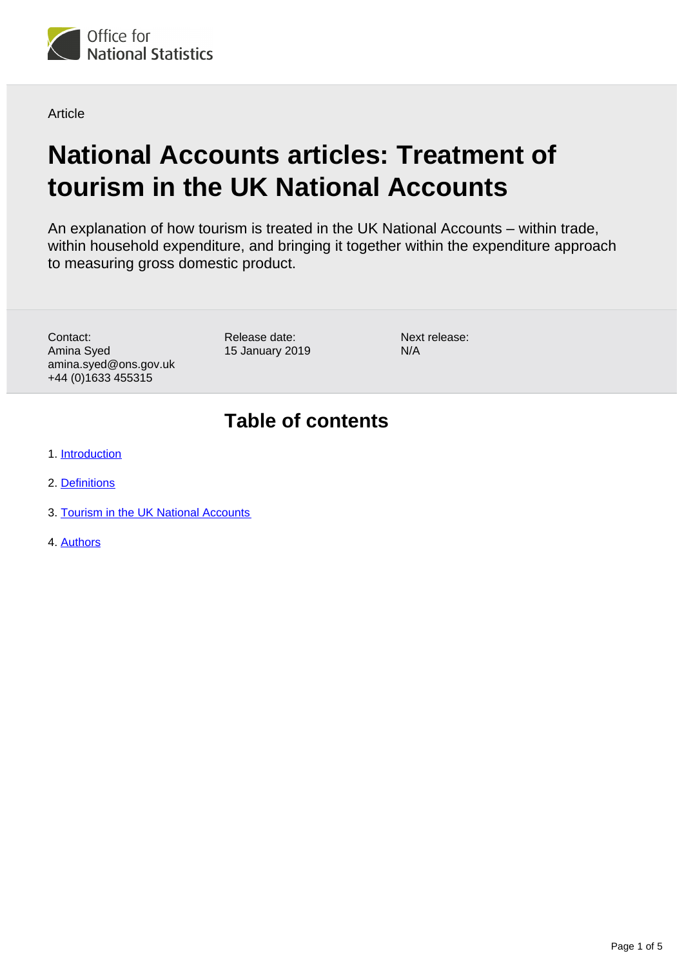

**Article** 

# **National Accounts articles: Treatment of tourism in the UK National Accounts**

An explanation of how tourism is treated in the UK National Accounts – within trade, within household expenditure, and bringing it together within the expenditure approach to measuring gross domestic product.

Contact: Amina Syed amina.syed@ons.gov.uk +44 (0)1633 455315

Release date: 15 January 2019 Next release: N/A

## **Table of contents**

- 1. [Introduction](#page-1-0)
- 2. [Definitions](#page-1-1)
- 3. [Tourism in the UK National Accounts](#page-2-0)
- 4. [Authors](#page-4-0)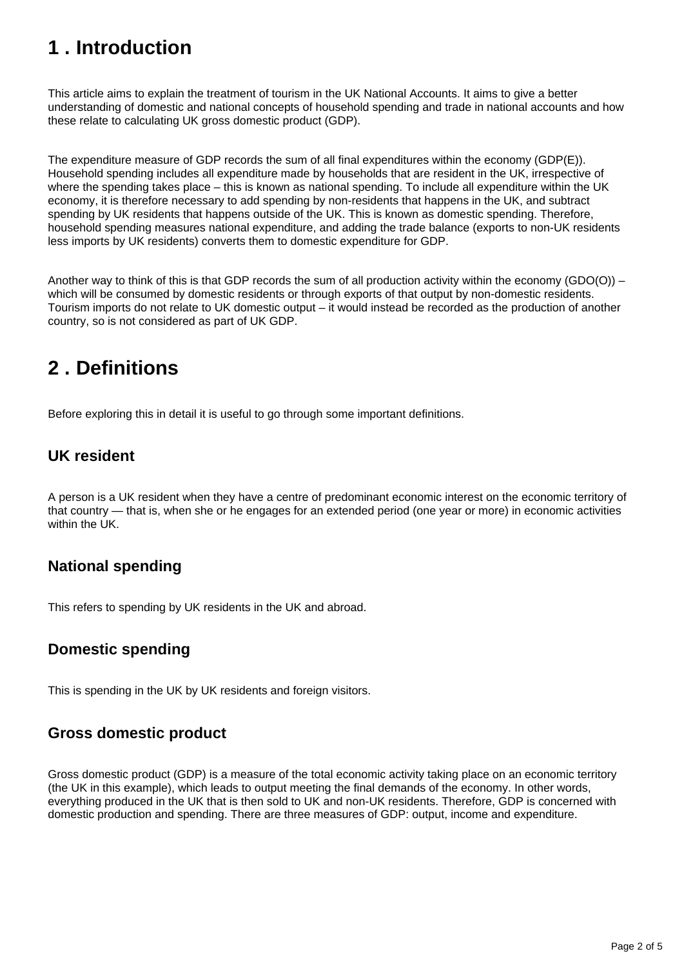## <span id="page-1-0"></span>**1 . Introduction**

This article aims to explain the treatment of tourism in the UK National Accounts. It aims to give a better understanding of domestic and national concepts of household spending and trade in national accounts and how these relate to calculating UK gross domestic product (GDP).

The expenditure measure of GDP records the sum of all final expenditures within the economy (GDP(E)). Household spending includes all expenditure made by households that are resident in the UK, irrespective of where the spending takes place – this is known as national spending. To include all expenditure within the UK economy, it is therefore necessary to add spending by non-residents that happens in the UK, and subtract spending by UK residents that happens outside of the UK. This is known as domestic spending. Therefore, household spending measures national expenditure, and adding the trade balance (exports to non-UK residents less imports by UK residents) converts them to domestic expenditure for GDP.

Another way to think of this is that GDP records the sum of all production activity within the economy (GDO(O)) – which will be consumed by domestic residents or through exports of that output by non-domestic residents. Tourism imports do not relate to UK domestic output – it would instead be recorded as the production of another country, so is not considered as part of UK GDP.

## <span id="page-1-1"></span>**2 . Definitions**

Before exploring this in detail it is useful to go through some important definitions.

### **UK resident**

A person is a UK resident when they have a centre of predominant economic interest on the economic territory of that country — that is, when she or he engages for an extended period (one year or more) in economic activities within the UK.

### **National spending**

This refers to spending by UK residents in the UK and abroad.

### **Domestic spending**

This is spending in the UK by UK residents and foreign visitors.

### **Gross domestic product**

Gross domestic product (GDP) is a measure of the total economic activity taking place on an economic territory (the UK in this example), which leads to output meeting the final demands of the economy. In other words, everything produced in the UK that is then sold to UK and non-UK residents. Therefore, GDP is concerned with domestic production and spending. There are three measures of GDP: output, income and expenditure.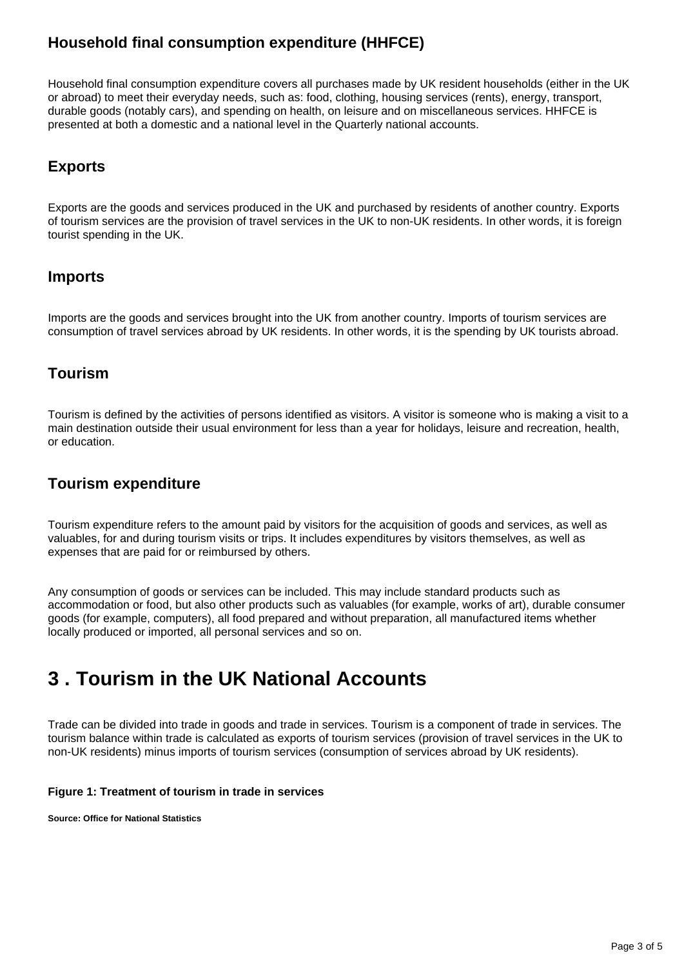### **Household final consumption expenditure (HHFCE)**

Household final consumption expenditure covers all purchases made by UK resident households (either in the UK or abroad) to meet their everyday needs, such as: food, clothing, housing services (rents), energy, transport, durable goods (notably cars), and spending on health, on leisure and on miscellaneous services. HHFCE is presented at both a domestic and a national level in the Quarterly national accounts.

#### **Exports**

Exports are the goods and services produced in the UK and purchased by residents of another country. Exports of tourism services are the provision of travel services in the UK to non-UK residents. In other words, it is foreign tourist spending in the UK.

#### **Imports**

Imports are the goods and services brought into the UK from another country. Imports of tourism services are consumption of travel services abroad by UK residents. In other words, it is the spending by UK tourists abroad.

#### **Tourism**

Tourism is defined by the activities of persons identified as visitors. A visitor is someone who is making a visit to a main destination outside their usual environment for less than a year for holidays, leisure and recreation, health, or education.

#### **Tourism expenditure**

Tourism expenditure refers to the amount paid by visitors for the acquisition of goods and services, as well as valuables, for and during tourism visits or trips. It includes expenditures by visitors themselves, as well as expenses that are paid for or reimbursed by others.

Any consumption of goods or services can be included. This may include standard products such as accommodation or food, but also other products such as valuables (for example, works of art), durable consumer goods (for example, computers), all food prepared and without preparation, all manufactured items whether locally produced or imported, all personal services and so on.

## <span id="page-2-0"></span>**3 . Tourism in the UK National Accounts**

Trade can be divided into trade in goods and trade in services. Tourism is a component of trade in services. The tourism balance within trade is calculated as exports of tourism services (provision of travel services in the UK to non-UK residents) minus imports of tourism services (consumption of services abroad by UK residents).

#### **Figure 1: Treatment of tourism in trade in services**

**Source: Office for National Statistics**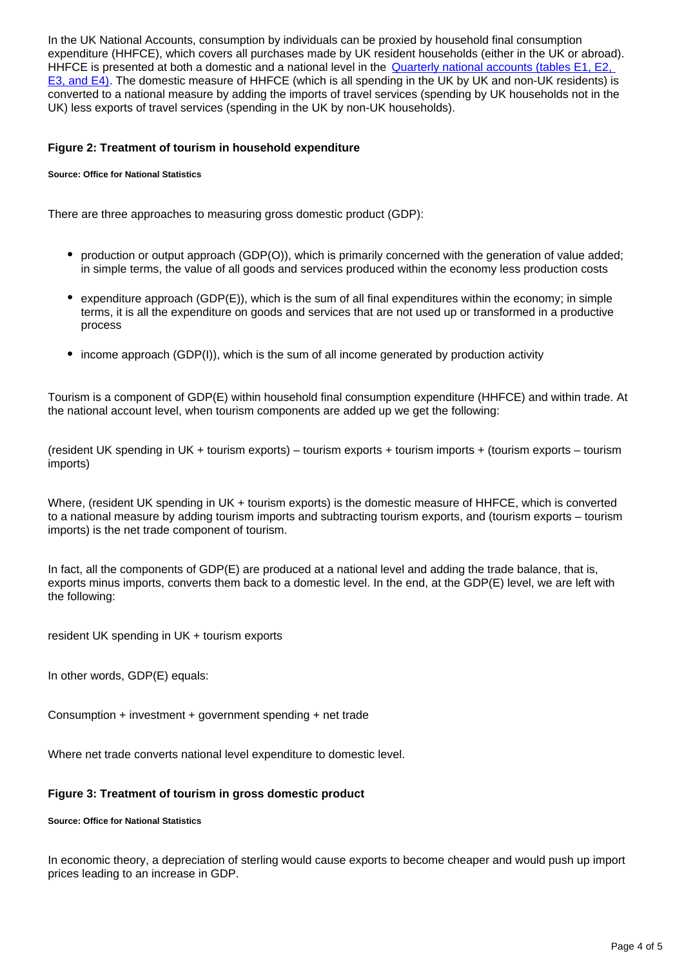In the UK National Accounts, consumption by individuals can be proxied by household final consumption expenditure (HHFCE), which covers all purchases made by UK resident households (either in the UK or abroad). HHFCE is presented at both a domestic and a national level in the Quarterly national accounts (tables E1, E2, [E3, and E4\)](https://www.ons.gov.uk/economy/grossdomesticproductgdp/datasets/uksecondestimateofgdpdatatables). The domestic measure of HHFCE (which is all spending in the UK by UK and non-UK residents) is converted to a national measure by adding the imports of travel services (spending by UK households not in the UK) less exports of travel services (spending in the UK by non-UK households).

#### **Figure 2: Treatment of tourism in household expenditure**

#### **Source: Office for National Statistics**

There are three approaches to measuring gross domestic product (GDP):

- production or output approach (GDP(O)), which is primarily concerned with the generation of value added; in simple terms, the value of all goods and services produced within the economy less production costs
- $\bullet$  expenditure approach (GDP(E)), which is the sum of all final expenditures within the economy; in simple terms, it is all the expenditure on goods and services that are not used up or transformed in a productive process
- income approach (GDP(I)), which is the sum of all income generated by production activity

Tourism is a component of GDP(E) within household final consumption expenditure (HHFCE) and within trade. At the national account level, when tourism components are added up we get the following:

(resident UK spending in UK + tourism exports) – tourism exports + tourism imports + (tourism exports – tourism imports)

Where, (resident UK spending in UK + tourism exports) is the domestic measure of HHFCE, which is converted to a national measure by adding tourism imports and subtracting tourism exports, and (tourism exports – tourism imports) is the net trade component of tourism.

In fact, all the components of GDP(E) are produced at a national level and adding the trade balance, that is, exports minus imports, converts them back to a domestic level. In the end, at the GDP(E) level, we are left with the following:

resident UK spending in UK + tourism exports

In other words, GDP(E) equals:

Consumption + investment + government spending + net trade

Where net trade converts national level expenditure to domestic level.

#### **Figure 3: Treatment of tourism in gross domestic product**

#### **Source: Office for National Statistics**

In economic theory, a depreciation of sterling would cause exports to become cheaper and would push up import prices leading to an increase in GDP.